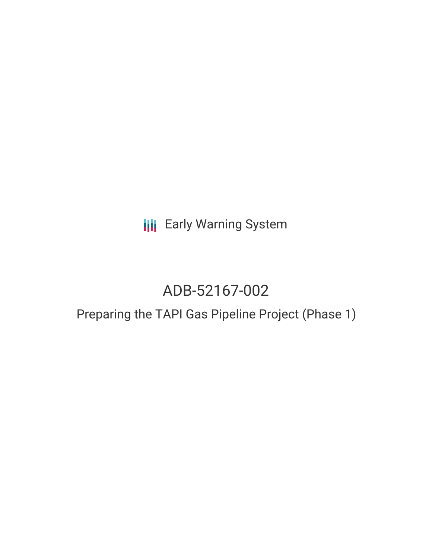**III** Early Warning System

# ADB-52167-002

## Preparing the TAPI Gas Pipeline Project (Phase 1)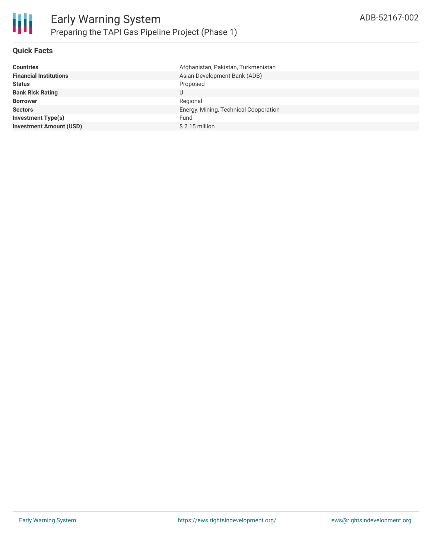

#### **Quick Facts**

| Afghanistan, Pakistan, Turkmenistan   |
|---------------------------------------|
| Asian Development Bank (ADB)          |
| Proposed                              |
| U                                     |
| Regional                              |
| Energy, Mining, Technical Cooperation |
| Fund                                  |
| $$2.15$ million                       |
|                                       |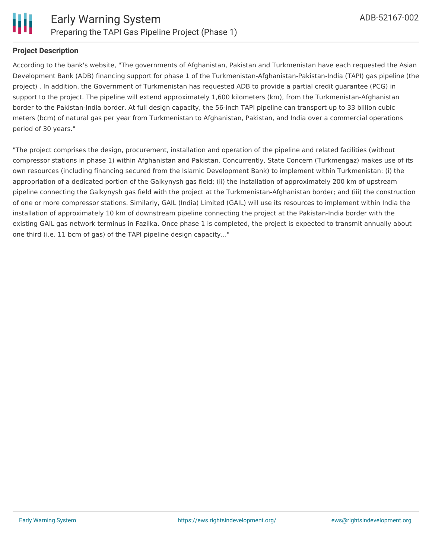

### **Project Description**

According to the bank's website, "The governments of Afghanistan, Pakistan and Turkmenistan have each requested the Asian Development Bank (ADB) financing support for phase 1 of the Turkmenistan-Afghanistan-Pakistan-India (TAPI) gas pipeline (the project) . In addition, the Government of Turkmenistan has requested ADB to provide a partial credit guarantee (PCG) in support to the project. The pipeline will extend approximately 1,600 kilometers (km), from the Turkmenistan-Afghanistan border to the Pakistan-India border. At full design capacity, the 56-inch TAPI pipeline can transport up to 33 billion cubic meters (bcm) of natural gas per year from Turkmenistan to Afghanistan, Pakistan, and India over a commercial operations period of 30 years."

"The project comprises the design, procurement, installation and operation of the pipeline and related facilities (without compressor stations in phase 1) within Afghanistan and Pakistan. Concurrently, State Concern (Turkmengaz) makes use of its own resources (including financing secured from the Islamic Development Bank) to implement within Turkmenistan: (i) the appropriation of a dedicated portion of the Galkynysh gas field; (ii) the installation of approximately 200 km of upstream pipeline connecting the Galkynysh gas field with the project at the Turkmenistan-Afghanistan border; and (iii) the construction of one or more compressor stations. Similarly, GAIL (India) Limited (GAIL) will use its resources to implement within India the installation of approximately 10 km of downstream pipeline connecting the project at the Pakistan-India border with the existing GAIL gas network terminus in Fazilka. Once phase 1 is completed, the project is expected to transmit annually about one third (i.e. 11 bcm of gas) of the TAPI pipeline design capacity..."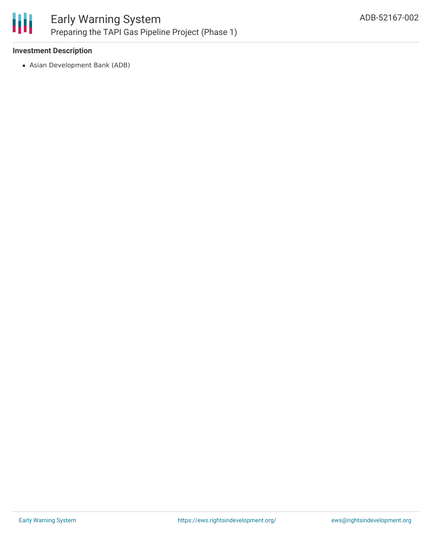

#### **Investment Description**

Asian Development Bank (ADB)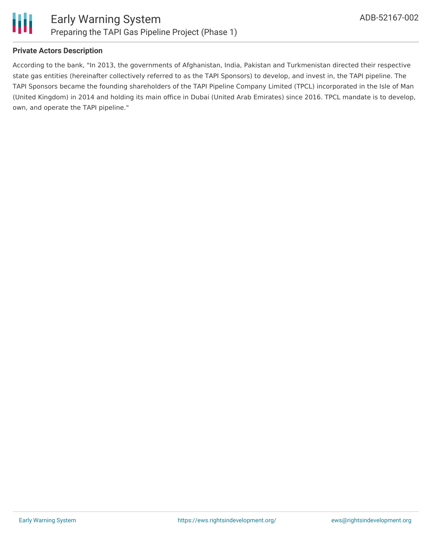

### **Private Actors Description**

According to the bank, "In 2013, the governments of Afghanistan, India, Pakistan and Turkmenistan directed their respective state gas entities (hereinafter collectively referred to as the TAPI Sponsors) to develop, and invest in, the TAPI pipeline. The TAPI Sponsors became the founding shareholders of the TAPI Pipeline Company Limited (TPCL) incorporated in the Isle of Man (United Kingdom) in 2014 and holding its main office in Dubai (United Arab Emirates) since 2016. TPCL mandate is to develop, own, and operate the TAPI pipeline."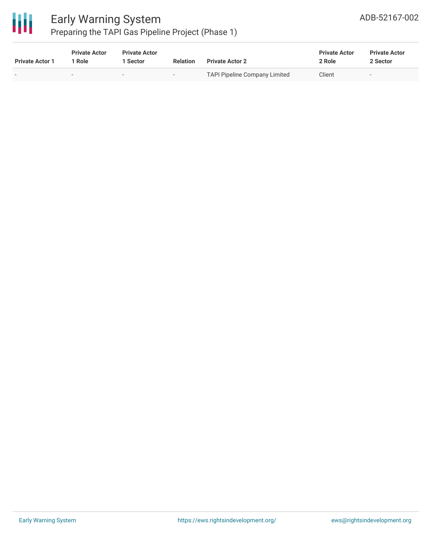

| <b>Private Actor 1</b> | <b>Private Actor</b><br>* Role | <b>Private Actor</b><br>Sector | <b>Relation</b>          | <b>Private Actor 2</b>               | <b>Private Actor</b><br>2 Role | <b>Private Actor</b><br>2 Sector |  |
|------------------------|--------------------------------|--------------------------------|--------------------------|--------------------------------------|--------------------------------|----------------------------------|--|
|                        |                                | $\sim$                         | $\overline{\phantom{a}}$ | <b>TAPI Pipeline Company Limited</b> | Client                         | $\overline{\phantom{a}}$         |  |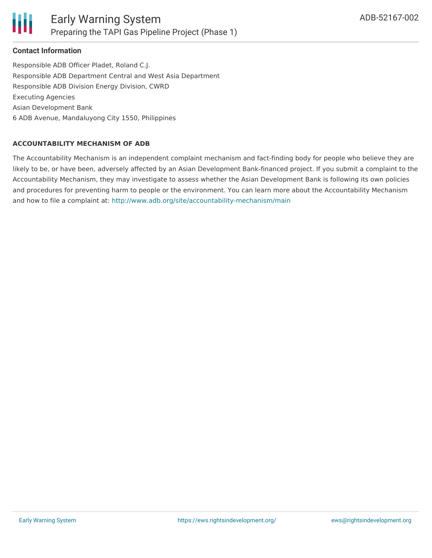

### **Contact Information**

Responsible ADB Officer Pladet, Roland C.J. Responsible ADB Department Central and West Asia Department Responsible ADB Division Energy Division, CWRD Executing Agencies Asian Development Bank 6 ADB Avenue, Mandaluyong City 1550, Philippines

#### **ACCOUNTABILITY MECHANISM OF ADB**

The Accountability Mechanism is an independent complaint mechanism and fact-finding body for people who believe they are likely to be, or have been, adversely affected by an Asian Development Bank-financed project. If you submit a complaint to the Accountability Mechanism, they may investigate to assess whether the Asian Development Bank is following its own policies and procedures for preventing harm to people or the environment. You can learn more about the Accountability Mechanism and how to file a complaint at: <http://www.adb.org/site/accountability-mechanism/main>